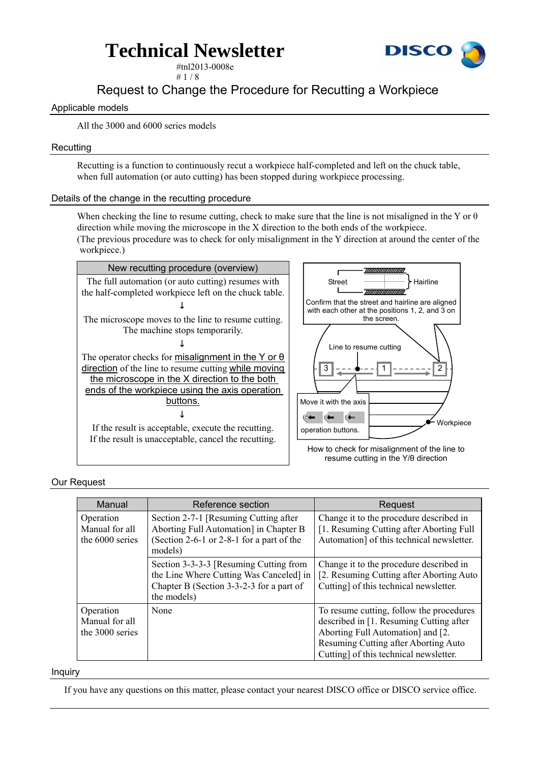

#tnl2013-0008e  $# 1 / 8$ 

### Request to Change the Procedure for Recutting a Workpiece

### Applicable models

All the 3000 and 6000 series models

### **Recutting**

Recutting is a function to continuously recut a workpiece half-completed and left on the chuck table, when full automation (or auto cutting) has been stopped during workpiece processing.

### Details of the change in the recutting procedure

When checking the line to resume cutting, check to make sure that the line is not misaligned in the Y or  $\theta$ direction while moving the microscope in the X direction to the both ends of the workpiece. (The previous procedure was to check for only misalignment in the Y direction at around the center of the

workpiece.)



### Our Request

| Manual                                         | Reference section                                                                                                                            | Request                                                                                                                                                                                                    |
|------------------------------------------------|----------------------------------------------------------------------------------------------------------------------------------------------|------------------------------------------------------------------------------------------------------------------------------------------------------------------------------------------------------------|
| Operation<br>Manual for all<br>the 6000 series | Section 2-7-1 [Resuming Cutting after]<br>Aborting Full Automation] in Chapter B<br>(Section 2-6-1 or 2-8-1 for a part of the<br>models)     | Change it to the procedure described in<br>[1. Resuming Cutting after Aborting Full]<br>Automation] of this technical newsletter.                                                                          |
|                                                | Section 3-3-3-3 [Resuming Cutting from<br>the Line Where Cutting Was Canceled] in<br>Chapter B (Section 3-3-2-3 for a part of<br>the models) | Change it to the procedure described in<br>[2. Resuming Cutting after Aborting Auto]<br>Cutting] of this technical newsletter.                                                                             |
| Operation<br>Manual for all<br>the 3000 series | None                                                                                                                                         | To resume cutting, follow the procedures<br>described in [1. Resuming Cutting after<br>Aborting Full Automation and [2.]<br>Resuming Cutting after Aborting Auto<br>Cutting] of this technical newsletter. |

#### Inquiry

If you have any questions on this matter, please contact your nearest DISCO office or DISCO service office.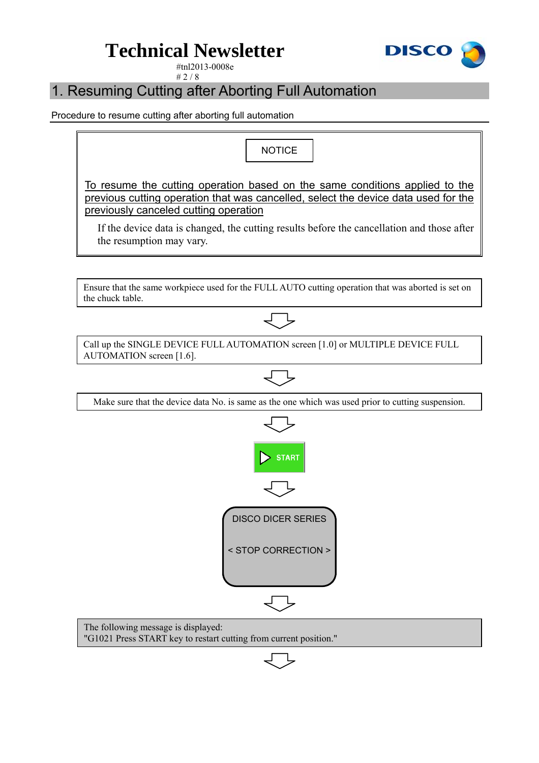

#tnl2013-0008e  $# 2 / 8$ 

### 1. Resuming Cutting after Aborting Full Automation

Procedure to resume cutting after aborting full automation

**NOTICE** To resume the cutting operation based on the same conditions applied to the previous cutting operation that was cancelled, select the device data used for the previously canceled cutting operation If the device data is changed, the cutting results before the cancellation and those after the resumption may vary. Ensure that the same workpiece used for the FULL AUTO cutting operation that was aborted is set on the chuck table. Call up the SINGLE DEVICE FULL AUTOMATION screen [1.0] or MULTIPLE DEVICE FULL AUTOMATION screen [1.6]. Make sure that the device data No. is same as the one which was used prior to cutting suspension. **START** DISCO DICER SERIES < STOP CORRECTION > The following message is displayed: "G1021 Press START key to restart cutting from current position."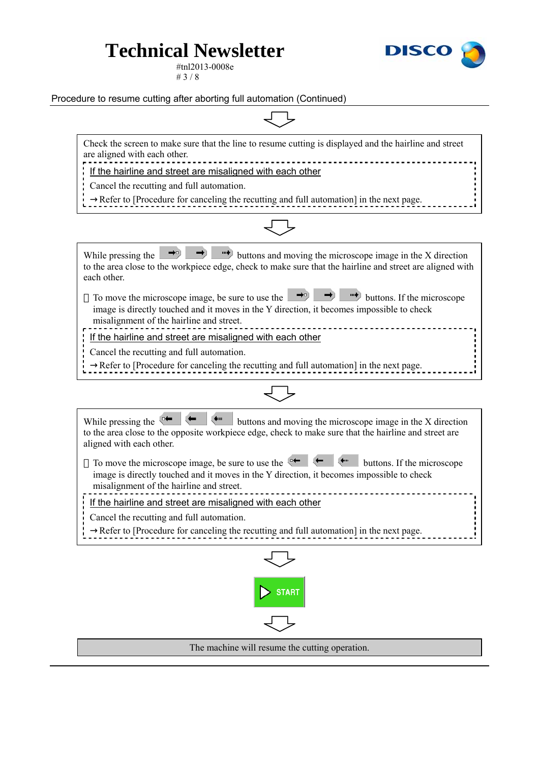

#tnl2013-0008e # 3 / 8

Procedure to resume cutting after aborting full automation (Continued)

Check the screen to make sure that the line to resume cutting is displayed and the hairline and street are aligned with each other.

If the hairline and street are misaligned with each other

Cancel the recutting and full automation.

Refer to [Procedure for canceling the recutting and full automation] in the next page.



While pressing the  $\rightarrow$   $\rightarrow$   $\rightarrow$   $\rightarrow$  buttons and moving the microscope image in the X direction to the area close to the workpiece edge, check to make sure that the hairline and street are aligned with each other. To move the microscope image, be sure to use the  $\rightarrow$ image is directly touched and it moves in the Y direction, it becomes impossible to check misalignment of the hairline and street. If the hairline and street are misaligned with each other Cancel the recutting and full automation. Refer to [Procedure for canceling the recutting and full automation] in the next page.



While pressing the  $\leftarrow$   $\leftarrow$   $\leftarrow$  buttons and moving the microscope image in the X direction to the area close to the opposite workpiece edge, check to make sure that the hairline and street are aligned with each other.

To move the microscope image, be sure to use the  $\leftarrow$   $\leftarrow$   $\leftarrow$  buttons. If the microscope image is directly touched and it moves in the Y direction, it becomes impossible to check misalignment of the hairline and street.

If the hairline and street are misaligned with each other

Cancel the recutting and full automation.

Refer to [Procedure for canceling the recutting and full automation] in the next page.



The machine will resume the cutting operation.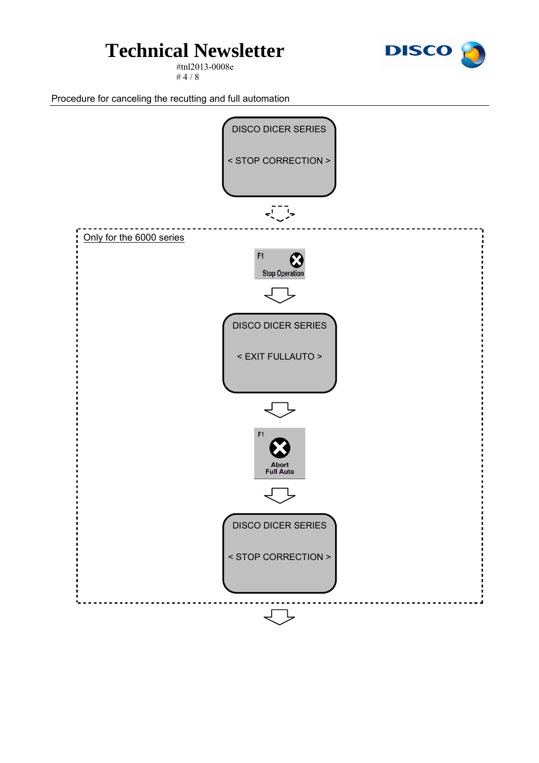#tnl2013-0008e # 4 / 8



Procedure for canceling the recutting and full automation

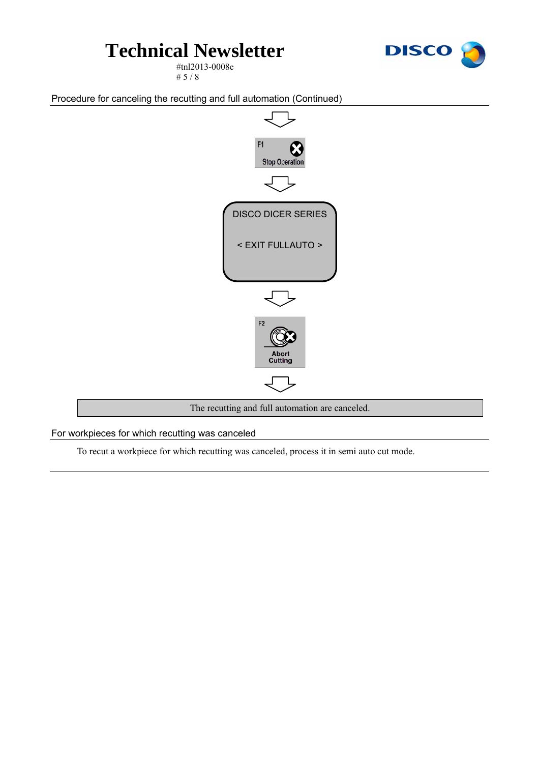

#tnl2013-0008e # 5 / 8

Procedure for canceling the recutting and full automation (Continued)



For workpieces for which recutting was canceled

To recut a workpiece for which recutting was canceled, process it in semi auto cut mode.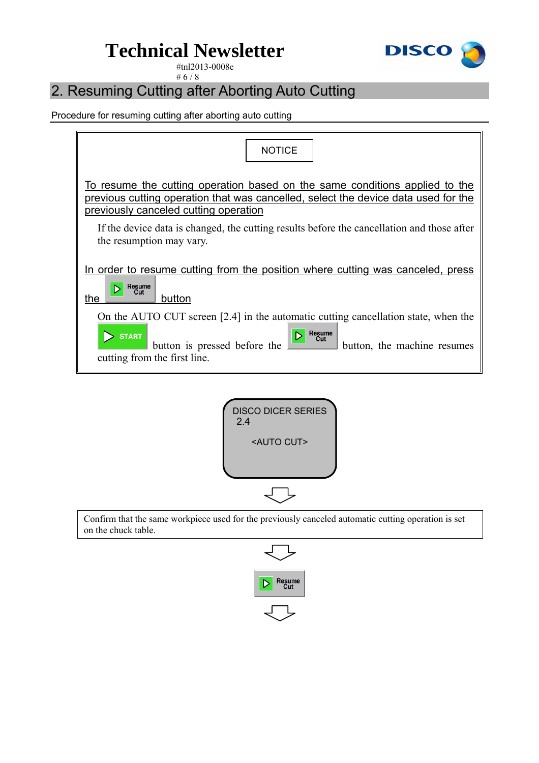

#tnl2013-0008e # 6 / 8

### 2. Resuming Cutting after Aborting Auto Cutting

Procedure for resuming cutting after aborting auto cutting





Confirm that the same workpiece used for the previously canceled automatic cutting operation is set on the chuck table.

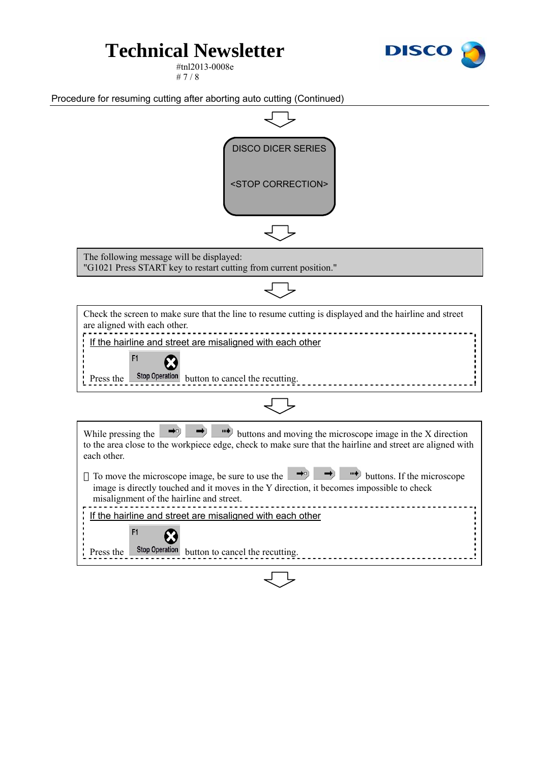

#tnl2013-0008e # 7 / 8